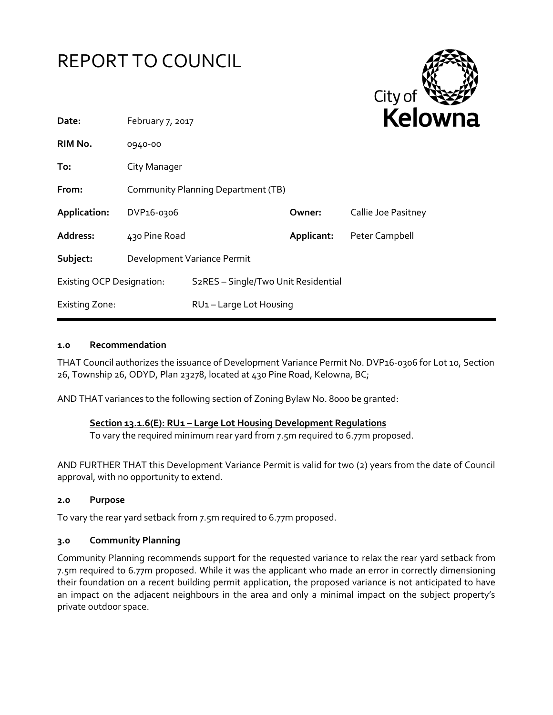



| Date:                            | February 7, 2017                   |                                                  |            | reiov               |
|----------------------------------|------------------------------------|--------------------------------------------------|------------|---------------------|
| RIM No.                          | 0940-00                            |                                                  |            |                     |
| To:                              | City Manager                       |                                                  |            |                     |
| From:                            | Community Planning Department (TB) |                                                  |            |                     |
| Application:                     | DVP <sub>16-0306</sub>             |                                                  | Owner:     | Callie Joe Pasitney |
| <b>Address:</b>                  | 430 Pine Road                      |                                                  | Applicant: | Peter Campbell      |
| Subject:                         | Development Variance Permit        |                                                  |            |                     |
| <b>Existing OCP Designation:</b> |                                    | S <sub>2</sub> RES - Single/Two Unit Residential |            |                     |
| <b>Existing Zone:</b>            |                                    | RU1-Large Lot Housing                            |            |                     |

#### **1.0 Recommendation**

THAT Council authorizes the issuance of Development Variance Permit No. DVP16-0306 for Lot 10, Section 26, Township 26, ODYD, Plan 23278, located at 430 Pine Road, Kelowna, BC;

AND THAT variances to the following section of Zoning Bylaw No. 8000 be granted:

### **Section 13.1.6(E): RU1 – Large Lot Housing Development Regulations**

To vary the required minimum rear yard from 7.5m required to 6.77m proposed.

AND FURTHER THAT this Development Variance Permit is valid for two (2) years from the date of Council approval, with no opportunity to extend.

### **2.0 Purpose**

To vary the rear yard setback from 7.5m required to 6.77m proposed.

### **3.0 Community Planning**

Community Planning recommends support for the requested variance to relax the rear yard setback from 7.5m required to 6.77m proposed. While it was the applicant who made an error in correctly dimensioning their foundation on a recent building permit application, the proposed variance is not anticipated to have an impact on the adjacent neighbours in the area and only a minimal impact on the subject property's private outdoor space.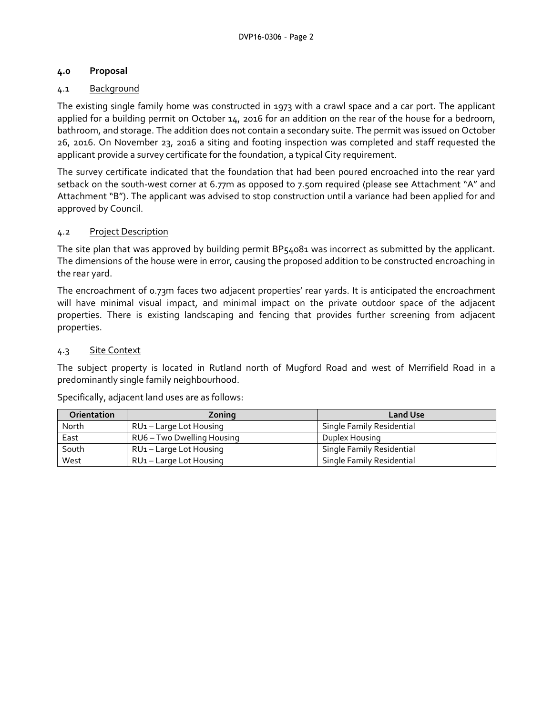# **4.0 Proposal**

# 4.1 Background

The existing single family home was constructed in 1973 with a crawl space and a car port. The applicant applied for a building permit on October 14, 2016 for an addition on the rear of the house for a bedroom, bathroom, and storage. The addition does not contain a secondary suite. The permit was issued on October 26, 2016. On November 23, 2016 a siting and footing inspection was completed and staff requested the applicant provide a survey certificate for the foundation, a typical City requirement.

The survey certificate indicated that the foundation that had been poured encroached into the rear yard setback on the south-west corner at 6.77m as opposed to 7.50m required (please see Attachment "A" and Attachment "B"). The applicant was advised to stop construction until a variance had been applied for and approved by Council.

# 4.2 Project Description

The site plan that was approved by building permit BP54081 was incorrect as submitted by the applicant. The dimensions of the house were in error, causing the proposed addition to be constructed encroaching in the rear yard.

The encroachment of 0.73m faces two adjacent properties' rear yards. It is anticipated the encroachment will have minimal visual impact, and minimal impact on the private outdoor space of the adjacent properties. There is existing landscaping and fencing that provides further screening from adjacent properties.

# 4.3 Site Context

The subject property is located in Rutland north of Mugford Road and west of Merrifield Road in a predominantly single family neighbourhood.

Specifically, adjacent land uses are as follows:

| <b>Orientation</b> | Zoning                              | <b>Land Use</b>           |
|--------------------|-------------------------------------|---------------------------|
| North              | RU1 – Large Lot Housing             | Single Family Residential |
| East               | RU6 – Two Dwelling Housing          | Duplex Housing            |
| South              | RU <sub>1</sub> – Large Lot Housing | Single Family Residential |
| West               | RU1 – Large Lot Housing             | Single Family Residential |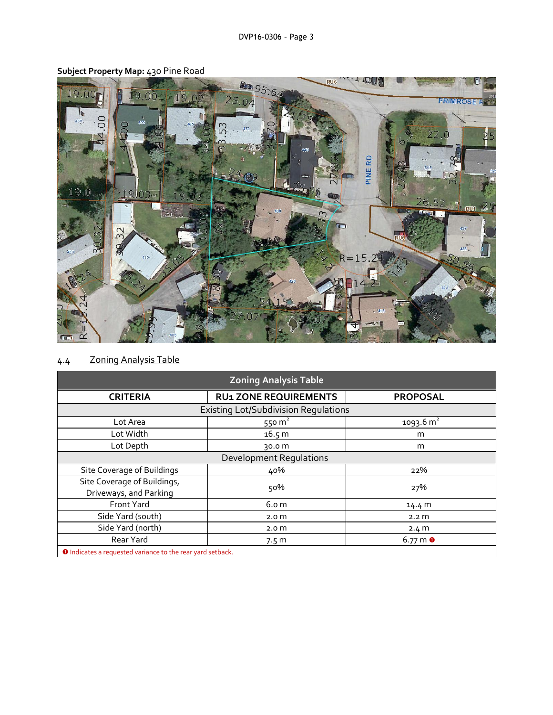

# **Subject Property Map:** 430 Pine Road

# 4.4 Zoning Analysis Table

| <b>Zoning Analysis Table</b>                                      |                              |                       |  |  |  |
|-------------------------------------------------------------------|------------------------------|-----------------------|--|--|--|
| <b>CRITERIA</b>                                                   | <b>RU1 ZONE REQUIREMENTS</b> | <b>PROPOSAL</b>       |  |  |  |
| <b>Existing Lot/Subdivision Requlations</b>                       |                              |                       |  |  |  |
| Lot Area                                                          | 550 $m2$                     | 1093.6 m <sup>2</sup> |  |  |  |
| Lot Width                                                         | 16.5 m                       | m                     |  |  |  |
| Lot Depth                                                         | 30.0 m                       | m                     |  |  |  |
| <b>Development Regulations</b>                                    |                              |                       |  |  |  |
| Site Coverage of Buildings                                        | 40%                          | 22%                   |  |  |  |
| Site Coverage of Buildings,<br>Driveways, and Parking             | 50%                          | 27%                   |  |  |  |
| <b>Front Yard</b>                                                 | 6.o m                        | 14.4 M                |  |  |  |
| Side Yard (south)                                                 | 2.0 <sub>m</sub>             | 2.2 <sub>m</sub>      |  |  |  |
| Side Yard (north)                                                 | 2.0 <sub>m</sub>             | 2.4 m                 |  |  |  |
| Rear Yard                                                         | 7.5 <sub>m</sub>             | $6.77 \text{ m}$ 0    |  |  |  |
| <b>O</b> Indicates a requested variance to the rear yard setback. |                              |                       |  |  |  |